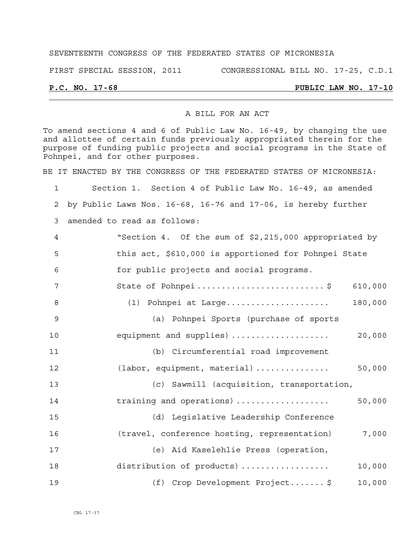### SEVENTEENTH CONGRESS OF THE FEDERATED STATES OF MICRONESIA

FIRST SPECIAL SESSION, 2011 CONGRESSIONAL BILL NO. 17-25, C.D.1

## **P.C. NO. 17-68 PUBLIC LAW NO. 17-10**

### A BILL FOR AN ACT

To amend sections 4 and 6 of Public Law No. 16-49, by changing the use and allottee of certain funds previously appropriated therein for the purpose of funding public projects and social programs in the State of Pohnpei, and for other purposes.

BE IT ENACTED BY THE CONGRESS OF THE FEDERATED STATES OF MICRONESIA:

1 Section 1. Section 4 of Public Law No. 16-49, as amended 2 by Public Laws Nos. 16-68, 16-76 and 17-06, is hereby further 3 amended to read as follows: 4 "Section 4. Of the sum of \$2,215,000 appropriated by 5 this act, \$610,000 is apportioned for Pohnpei State 6 for public projects and social programs. 7 State of Pohnpei .......................... \$ 610,000 8 (1) Pohnpei at Large..................... 180,000 9 (a) Pohnpei Sports (purchase of sports 10 equipment and supplies) .................... 20,000 11 (b) Circumferential road improvement 12 (labor, equipment, material) ............... 50,000 13 (c) Sawmill (acquisition, transportation, 14 training and operations) ................... 50,000 15 (d) Legislative Leadership Conference 16 (travel, conference hosting, representation) 7,000 17 (e) Aid Kaselehlie Press (operation, 18 distribution of products) .................. 10,000 19 (f) Crop Development Project....... \$ 10,000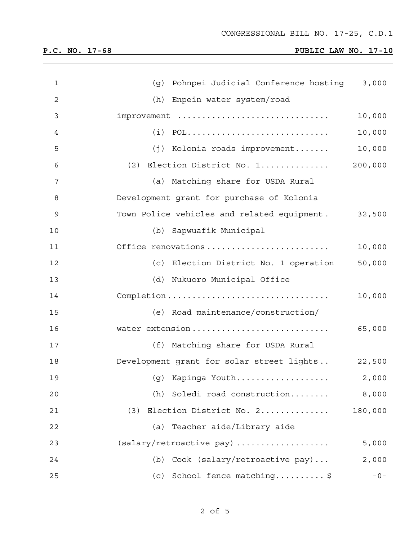# **P.C. NO. 17-68 PUBLIC LAW NO. 17-10**

| 1  | (g) Pohnpei Judicial Conference hosting     | 3,000   |  |
|----|---------------------------------------------|---------|--|
| 2  | (h) Enpein water system/road                |         |  |
| 3  | $improvement$                               | 10,000  |  |
| 4  |                                             | 10,000  |  |
| 5  | (j) Kolonia roads improvement               | 10,000  |  |
| 6  | $(2)$ Election District No. 1               | 200,000 |  |
| 7  | (a) Matching share for USDA Rural           |         |  |
| 8  | Development grant for purchase of Kolonia   |         |  |
| 9  | Town Police vehicles and related equipment. | 32,500  |  |
| 10 | (b) Sapwuafik Municipal                     |         |  |
| 11 | Office renovations                          | 10,000  |  |
| 12 | (c) Election District No. 1 operation       | 50,000  |  |
| 13 | (d) Nukuoro Municipal Office                |         |  |
| 14 |                                             | 10,000  |  |
| 15 | (e) Road maintenance/construction/          |         |  |
| 16 |                                             |         |  |
| 17 | (f) Matching share for USDA Rural           |         |  |
| 18 | Development grant for solar street lights   | 22,500  |  |
| 19 | (g) Kapinga Youth                           | 2,000   |  |
| 20 | Soledi road construction<br>(h)             | 8,000   |  |
| 21 | Election District No. 2<br>(3)              | 180,000 |  |
| 22 | Teacher aide/Library aide<br>(a)            |         |  |
| 23 | (salary/retroactive pay)                    | 5,000   |  |
| 24 | Cook (salary/retroactive pay)<br>(b)        | 2,000   |  |
| 25 | School fence matching\$<br>(c)              | $-0-$   |  |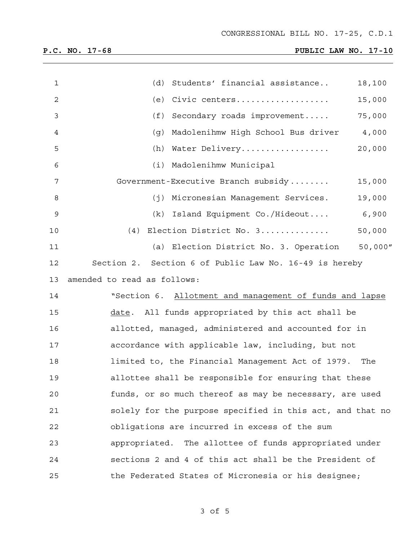# **P.C. NO. 17-68 PUBLIC LAW NO. 17-10**

| $\mathbf{1}$   | (d) Students' financial assistance                        | 18,100   |  |  |  |
|----------------|-----------------------------------------------------------|----------|--|--|--|
| $\sqrt{2}$     | (e) Civic centers                                         | 15,000   |  |  |  |
| 3              | (f)<br>Secondary roads improvement                        | 75,000   |  |  |  |
| $\overline{4}$ | Madolenihmw High School Bus driver 4,000<br>(g)           |          |  |  |  |
| 5              | (h) Water Delivery                                        | 20,000   |  |  |  |
| 6              | (i) Madolenihmw Municipal                                 |          |  |  |  |
| 7              | Government-Executive Branch subsidy                       | 15,000   |  |  |  |
| 8              | (j) Micronesian Management Services.                      | 19,000   |  |  |  |
| 9              | $(k)$ Island Equipment Co./Hideout                        | 6,900    |  |  |  |
| 10             | (4) Election District No. 3                               | 50,000   |  |  |  |
| 11             | (a) Election District No. 3. Operation                    | 50,000'' |  |  |  |
| 12             | Section 2. Section 6 of Public Law No. 16-49 is hereby    |          |  |  |  |
| 13             | amended to read as follows:                               |          |  |  |  |
| 14             | "Section 6. Allotment and management of funds and lapse   |          |  |  |  |
| 15             | date. All funds appropriated by this act shall be         |          |  |  |  |
| 16             | allotted, managed, administered and accounted for in      |          |  |  |  |
| 17             | accordance with applicable law, including, but not        |          |  |  |  |
| 18             | limited to, the Financial Management Act of 1979. The     |          |  |  |  |
| 19             | allottee shall be responsible for ensuring that these     |          |  |  |  |
| 20             | funds, or so much thereof as may be necessary, are used   |          |  |  |  |
| 21             | solely for the purpose specified in this act, and that no |          |  |  |  |
| 22             | obligations are incurred in excess of the sum             |          |  |  |  |
| 23             | appropriated. The allottee of funds appropriated under    |          |  |  |  |
| 24             | sections 2 and 4 of this act shall be the President of    |          |  |  |  |
| 25             | the Federated States of Micronesia or his designee;       |          |  |  |  |

3 of 5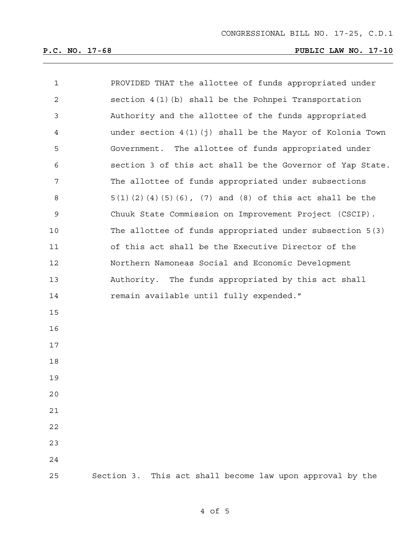# **P.C. NO. 17-68 PUBLIC LAW NO. 17-10**

| 1              | PROVIDED THAT the allottee of funds appropriated under        |  |  |  |  |  |  |
|----------------|---------------------------------------------------------------|--|--|--|--|--|--|
| $\overline{c}$ | section $4(1)(b)$ shall be the Pohnpei Transportation         |  |  |  |  |  |  |
| 3              | Authority and the allottee of the funds appropriated          |  |  |  |  |  |  |
| 4              | under section $4(1)(i)$ shall be the Mayor of Kolonia Town    |  |  |  |  |  |  |
| 5              | Government. The allottee of funds appropriated under          |  |  |  |  |  |  |
| 6              | section 3 of this act shall be the Governor of Yap State.     |  |  |  |  |  |  |
| 7              | The allottee of funds appropriated under subsections          |  |  |  |  |  |  |
| 8              | $5(1)(2)(4)(5)(6)$ , $(7)$ and $(8)$ of this act shall be the |  |  |  |  |  |  |
| $\mathsf 9$    | Chuuk State Commission on Improvement Project (CSCIP).        |  |  |  |  |  |  |
| 10             | The allottee of funds appropriated under subsection 5(3)      |  |  |  |  |  |  |
| 11             | of this act shall be the Executive Director of the            |  |  |  |  |  |  |
| 12             | Northern Namoneas Social and Economic Development             |  |  |  |  |  |  |
| 13             | Authority. The funds appropriated by this act shall           |  |  |  |  |  |  |
| 14             | remain available until fully expended."                       |  |  |  |  |  |  |
| 15             |                                                               |  |  |  |  |  |  |
| 16             |                                                               |  |  |  |  |  |  |
| 17             |                                                               |  |  |  |  |  |  |
| 18             |                                                               |  |  |  |  |  |  |
| 19             |                                                               |  |  |  |  |  |  |
| 20             |                                                               |  |  |  |  |  |  |
| 21             |                                                               |  |  |  |  |  |  |
| 22             |                                                               |  |  |  |  |  |  |
| 23             |                                                               |  |  |  |  |  |  |
| 24             |                                                               |  |  |  |  |  |  |
| 25             | This act shall become law upon approval by the<br>Section 3.  |  |  |  |  |  |  |